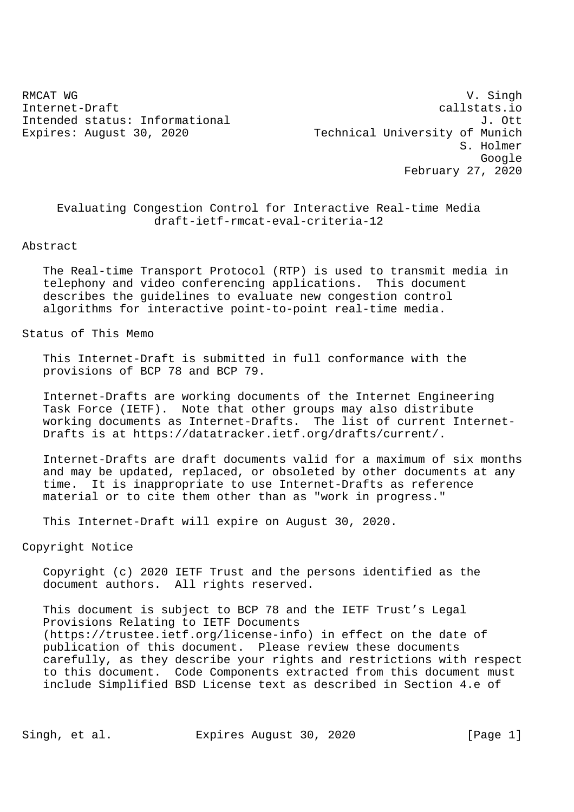RMCAT WG SINGH WAS SERVED AS A SERVED ON A STRAIGHT WAS SAFEKEEPING WAS SAFEKEEPING. Internet-Draft callstats.io Intended status: Informational J. Ott Expires: August 30, 2020 Technical University of Munich S. Holmer Google February 27, 2020

 Evaluating Congestion Control for Interactive Real-time Media draft-ietf-rmcat-eval-criteria-12

#### Abstract

 The Real-time Transport Protocol (RTP) is used to transmit media in telephony and video conferencing applications. This document describes the guidelines to evaluate new congestion control algorithms for interactive point-to-point real-time media.

Status of This Memo

 This Internet-Draft is submitted in full conformance with the provisions of BCP 78 and BCP 79.

 Internet-Drafts are working documents of the Internet Engineering Task Force (IETF). Note that other groups may also distribute working documents as Internet-Drafts. The list of current Internet- Drafts is at https://datatracker.ietf.org/drafts/current/.

 Internet-Drafts are draft documents valid for a maximum of six months and may be updated, replaced, or obsoleted by other documents at any time. It is inappropriate to use Internet-Drafts as reference material or to cite them other than as "work in progress."

This Internet-Draft will expire on August 30, 2020.

# Copyright Notice

 Copyright (c) 2020 IETF Trust and the persons identified as the document authors. All rights reserved.

 This document is subject to BCP 78 and the IETF Trust's Legal Provisions Relating to IETF Documents (https://trustee.ietf.org/license-info) in effect on the date of publication of this document. Please review these documents carefully, as they describe your rights and restrictions with respect to this document. Code Components extracted from this document must include Simplified BSD License text as described in Section 4.e of

Singh, et al. Expires August 30, 2020 [Page 1]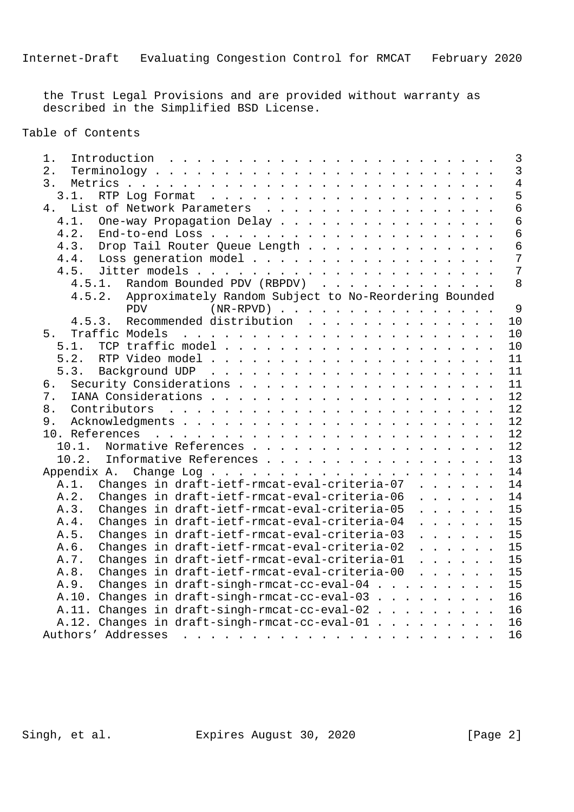the Trust Legal Provisions and are provided without warranty as described in the Simplified BSD License.

Table of Contents

| 1. |                                               |                                                                              |                                                                        |  |  |  |                                                                                                                                                                                                                                |  |  |  |  |  |  |    |    |  |  |                                                                                                          |  |  | 3              |
|----|-----------------------------------------------|------------------------------------------------------------------------------|------------------------------------------------------------------------|--|--|--|--------------------------------------------------------------------------------------------------------------------------------------------------------------------------------------------------------------------------------|--|--|--|--|--|--|----|----|--|--|----------------------------------------------------------------------------------------------------------|--|--|----------------|
| 2. |                                               | $Terminology \ldots \ldots \ldots \ldots \ldots \ldots \ldots \ldots \ldots$ |                                                                        |  |  |  |                                                                                                                                                                                                                                |  |  |  |  |  |  |    |    |  |  |                                                                                                          |  |  | $\overline{3}$ |
| 3. |                                               |                                                                              |                                                                        |  |  |  |                                                                                                                                                                                                                                |  |  |  |  |  |  |    |    |  |  |                                                                                                          |  |  | $\overline{4}$ |
|    | 3.1.                                          |                                                                              |                                                                        |  |  |  |                                                                                                                                                                                                                                |  |  |  |  |  |  |    |    |  |  |                                                                                                          |  |  | 5              |
|    | 4.                                            | List of Network Parameters                                                   |                                                                        |  |  |  |                                                                                                                                                                                                                                |  |  |  |  |  |  |    |    |  |  |                                                                                                          |  |  | $\overline{6}$ |
|    | 4.1.                                          |                                                                              | One-way Propagation Delay                                              |  |  |  |                                                                                                                                                                                                                                |  |  |  |  |  |  |    |    |  |  |                                                                                                          |  |  | $\epsilon$     |
|    | 4.2.                                          |                                                                              |                                                                        |  |  |  |                                                                                                                                                                                                                                |  |  |  |  |  |  |    |    |  |  |                                                                                                          |  |  | $\epsilon$     |
|    | 4.3.                                          |                                                                              | Drop Tail Router Queue Length                                          |  |  |  |                                                                                                                                                                                                                                |  |  |  |  |  |  |    |    |  |  |                                                                                                          |  |  | 6              |
|    | 4.4.                                          |                                                                              | Loss generation model                                                  |  |  |  |                                                                                                                                                                                                                                |  |  |  |  |  |  |    |    |  |  |                                                                                                          |  |  | 7              |
|    | 4.5.                                          |                                                                              |                                                                        |  |  |  |                                                                                                                                                                                                                                |  |  |  |  |  |  |    |    |  |  |                                                                                                          |  |  | 7              |
|    |                                               | 4.5.1.                                                                       | Random Bounded PDV (RBPDV)                                             |  |  |  |                                                                                                                                                                                                                                |  |  |  |  |  |  |    |    |  |  |                                                                                                          |  |  | 8              |
|    |                                               | 4.5.2. Approximately Random Subject to No-Reordering Bounded                 |                                                                        |  |  |  |                                                                                                                                                                                                                                |  |  |  |  |  |  |    |    |  |  |                                                                                                          |  |  |                |
|    |                                               |                                                                              | <b>PDV</b>                                                             |  |  |  | $(NR-RPVD)$                                                                                                                                                                                                                    |  |  |  |  |  |  |    |    |  |  |                                                                                                          |  |  | 9              |
|    | 4.5.3.                                        |                                                                              | Recommended distribution                                               |  |  |  |                                                                                                                                                                                                                                |  |  |  |  |  |  |    |    |  |  |                                                                                                          |  |  | 10             |
| 5. |                                               |                                                                              |                                                                        |  |  |  |                                                                                                                                                                                                                                |  |  |  |  |  |  |    |    |  |  |                                                                                                          |  |  | 10             |
|    | 5.1.                                          |                                                                              |                                                                        |  |  |  |                                                                                                                                                                                                                                |  |  |  |  |  |  |    |    |  |  |                                                                                                          |  |  | 10             |
|    | 5.2.                                          |                                                                              |                                                                        |  |  |  |                                                                                                                                                                                                                                |  |  |  |  |  |  |    |    |  |  |                                                                                                          |  |  | 11             |
|    | 5.3.                                          |                                                                              |                                                                        |  |  |  |                                                                                                                                                                                                                                |  |  |  |  |  |  |    |    |  |  |                                                                                                          |  |  | 11             |
|    | б.                                            |                                                                              |                                                                        |  |  |  |                                                                                                                                                                                                                                |  |  |  |  |  |  |    | 11 |  |  |                                                                                                          |  |  |                |
|    | 7.                                            |                                                                              |                                                                        |  |  |  |                                                                                                                                                                                                                                |  |  |  |  |  |  |    | 12 |  |  |                                                                                                          |  |  |                |
|    | 8.                                            |                                                                              |                                                                        |  |  |  |                                                                                                                                                                                                                                |  |  |  |  |  |  | 12 |    |  |  |                                                                                                          |  |  |                |
|    | 9.                                            |                                                                              |                                                                        |  |  |  |                                                                                                                                                                                                                                |  |  |  |  |  |  |    | 12 |  |  |                                                                                                          |  |  |                |
|    | 10. References                                |                                                                              |                                                                        |  |  |  |                                                                                                                                                                                                                                |  |  |  |  |  |  |    |    |  |  |                                                                                                          |  |  | 12             |
|    | 10.1.                                         |                                                                              | Normative References                                                   |  |  |  |                                                                                                                                                                                                                                |  |  |  |  |  |  |    |    |  |  |                                                                                                          |  |  | 12             |
|    | 10.2.                                         |                                                                              | Informative References                                                 |  |  |  |                                                                                                                                                                                                                                |  |  |  |  |  |  |    |    |  |  |                                                                                                          |  |  | 13             |
|    | Appendix A.                                   |                                                                              |                                                                        |  |  |  |                                                                                                                                                                                                                                |  |  |  |  |  |  |    |    |  |  |                                                                                                          |  |  | 14             |
|    | A.1.                                          |                                                                              | Changes in draft-ietf-rmcat-eval-criteria-07                           |  |  |  |                                                                                                                                                                                                                                |  |  |  |  |  |  |    |    |  |  | $\mathbf{r}$ and $\mathbf{r}$ and $\mathbf{r}$                                                           |  |  | 14             |
|    | A.2.                                          |                                                                              | Changes in draft-ietf-rmcat-eval-criteria-06                           |  |  |  |                                                                                                                                                                                                                                |  |  |  |  |  |  |    |    |  |  | $\mathbf{r}$ , $\mathbf{r}$ , $\mathbf{r}$                                                               |  |  | 14             |
|    | A.3.                                          |                                                                              | Changes in draft-ietf-rmcat-eval-criteria-05                           |  |  |  |                                                                                                                                                                                                                                |  |  |  |  |  |  |    |    |  |  | $\overline{a}$ $\overline{a}$ $\overline{a}$ $\overline{a}$ $\overline{a}$ $\overline{a}$ $\overline{a}$ |  |  | 15             |
|    | A.4.                                          |                                                                              | Changes in draft-ietf-rmcat-eval-criteria-04                           |  |  |  |                                                                                                                                                                                                                                |  |  |  |  |  |  |    |    |  |  | $\mathbf{r}$ and $\mathbf{r}$ and $\mathbf{r}$                                                           |  |  | 15             |
|    | A.5.                                          |                                                                              | Changes in draft-ietf-rmcat-eval-criteria-03                           |  |  |  |                                                                                                                                                                                                                                |  |  |  |  |  |  |    |    |  |  | $\cdot$ $\cdot$ $\cdot$ $\cdot$ $\cdot$ $\cdot$                                                          |  |  | 15             |
|    | A.6.                                          |                                                                              | Changes in draft-ietf-rmcat-eval-criteria-02                           |  |  |  |                                                                                                                                                                                                                                |  |  |  |  |  |  |    |    |  |  | $\cdot$ $\cdot$ $\cdot$ $\cdot$ $\cdot$ $\cdot$                                                          |  |  | 15             |
|    | A.7.                                          |                                                                              | Changes in draft-ietf-rmcat-eval-criteria-01                           |  |  |  |                                                                                                                                                                                                                                |  |  |  |  |  |  |    |    |  |  | $\mathbf{r}$ , $\mathbf{r}$ , $\mathbf{r}$ , $\mathbf{r}$                                                |  |  | 15             |
|    | A.8.                                          |                                                                              | Changes in draft-ietf-rmcat-eval-criteria-00 $\cdot \cdot \cdot \cdot$ |  |  |  |                                                                                                                                                                                                                                |  |  |  |  |  |  |    |    |  |  |                                                                                                          |  |  | 15             |
|    | A.9.                                          |                                                                              | Changes in draft-singh-rmcat-cc-eval-04                                |  |  |  |                                                                                                                                                                                                                                |  |  |  |  |  |  |    |    |  |  |                                                                                                          |  |  | 15             |
|    | A.10. Changes in draft-singh-rmcat-cc-eval-03 |                                                                              |                                                                        |  |  |  |                                                                                                                                                                                                                                |  |  |  |  |  |  |    |    |  |  |                                                                                                          |  |  | 16             |
|    | A.11. Changes in draft-singh-rmcat-cc-eval-02 |                                                                              |                                                                        |  |  |  |                                                                                                                                                                                                                                |  |  |  |  |  |  |    |    |  |  |                                                                                                          |  |  | 16             |
|    | A.12. Changes in draft-singh-rmcat-cc-eval-01 |                                                                              |                                                                        |  |  |  |                                                                                                                                                                                                                                |  |  |  |  |  |  |    |    |  |  |                                                                                                          |  |  | 16             |
|    | Authors' Addresses                            |                                                                              |                                                                        |  |  |  | a constitution of the contract of the constitution of the constitution of the constitution of the constitution of the constitution of the constitution of the constitution of the constitution of the constitution of the cons |  |  |  |  |  |  |    |    |  |  |                                                                                                          |  |  | 16             |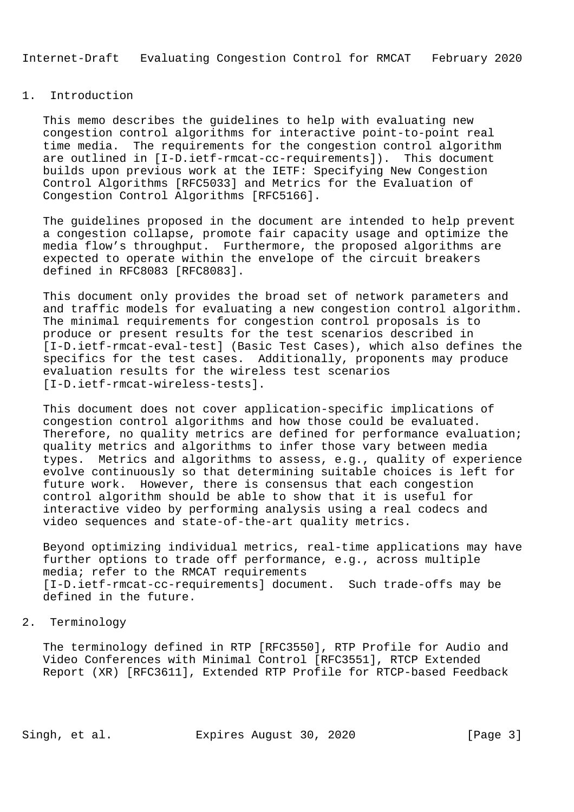### 1. Introduction

 This memo describes the guidelines to help with evaluating new congestion control algorithms for interactive point-to-point real time media. The requirements for the congestion control algorithm are outlined in [I-D.ietf-rmcat-cc-requirements]). This document builds upon previous work at the IETF: Specifying New Congestion Control Algorithms [RFC5033] and Metrics for the Evaluation of Congestion Control Algorithms [RFC5166].

 The guidelines proposed in the document are intended to help prevent a congestion collapse, promote fair capacity usage and optimize the media flow's throughput. Furthermore, the proposed algorithms are expected to operate within the envelope of the circuit breakers defined in RFC8083 [RFC8083].

 This document only provides the broad set of network parameters and and traffic models for evaluating a new congestion control algorithm. The minimal requirements for congestion control proposals is to produce or present results for the test scenarios described in [I-D.ietf-rmcat-eval-test] (Basic Test Cases), which also defines the specifics for the test cases. Additionally, proponents may produce evaluation results for the wireless test scenarios [I-D.ietf-rmcat-wireless-tests].

 This document does not cover application-specific implications of congestion control algorithms and how those could be evaluated. Therefore, no quality metrics are defined for performance evaluation; quality metrics and algorithms to infer those vary between media types. Metrics and algorithms to assess, e.g., quality of experience evolve continuously so that determining suitable choices is left for future work. However, there is consensus that each congestion control algorithm should be able to show that it is useful for interactive video by performing analysis using a real codecs and video sequences and state-of-the-art quality metrics.

 Beyond optimizing individual metrics, real-time applications may have further options to trade off performance, e.g., across multiple media; refer to the RMCAT requirements [I-D.ietf-rmcat-cc-requirements] document. Such trade-offs may be defined in the future.

## 2. Terminology

 The terminology defined in RTP [RFC3550], RTP Profile for Audio and Video Conferences with Minimal Control [RFC3551], RTCP Extended Report (XR) [RFC3611], Extended RTP Profile for RTCP-based Feedback

Singh, et al. Expires August 30, 2020 [Page 3]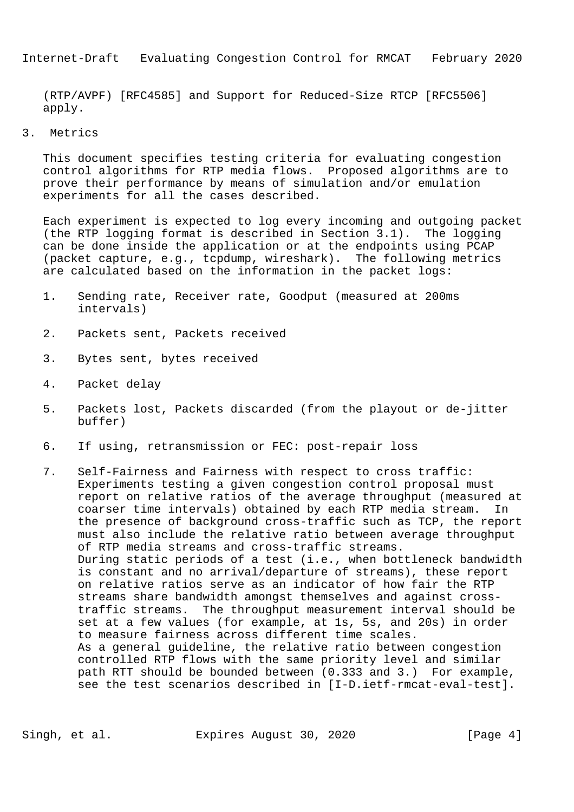(RTP/AVPF) [RFC4585] and Support for Reduced-Size RTCP [RFC5506] apply.

3. Metrics

 This document specifies testing criteria for evaluating congestion control algorithms for RTP media flows. Proposed algorithms are to prove their performance by means of simulation and/or emulation experiments for all the cases described.

 Each experiment is expected to log every incoming and outgoing packet (the RTP logging format is described in Section 3.1). The logging can be done inside the application or at the endpoints using PCAP (packet capture, e.g., tcpdump, wireshark). The following metrics are calculated based on the information in the packet logs:

- 1. Sending rate, Receiver rate, Goodput (measured at 200ms intervals)
- 2. Packets sent, Packets received
- 3. Bytes sent, bytes received
- 4. Packet delay
- 5. Packets lost, Packets discarded (from the playout or de-jitter buffer)
- 6. If using, retransmission or FEC: post-repair loss
- 7. Self-Fairness and Fairness with respect to cross traffic: Experiments testing a given congestion control proposal must report on relative ratios of the average throughput (measured at coarser time intervals) obtained by each RTP media stream. In the presence of background cross-traffic such as TCP, the report must also include the relative ratio between average throughput of RTP media streams and cross-traffic streams. During static periods of a test (i.e., when bottleneck bandwidth is constant and no arrival/departure of streams), these report on relative ratios serve as an indicator of how fair the RTP streams share bandwidth amongst themselves and against cross traffic streams. The throughput measurement interval should be set at a few values (for example, at 1s, 5s, and 20s) in order to measure fairness across different time scales. As a general guideline, the relative ratio between congestion controlled RTP flows with the same priority level and similar path RTT should be bounded between (0.333 and 3.) For example, see the test scenarios described in [I-D.ietf-rmcat-eval-test].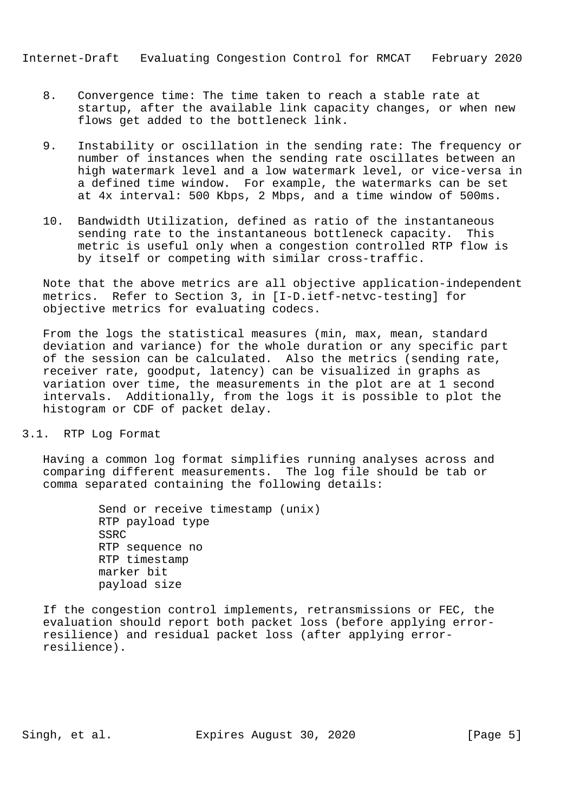- 8. Convergence time: The time taken to reach a stable rate at startup, after the available link capacity changes, or when new flows get added to the bottleneck link.
- 9. Instability or oscillation in the sending rate: The frequency or number of instances when the sending rate oscillates between an high watermark level and a low watermark level, or vice-versa in a defined time window. For example, the watermarks can be set at 4x interval: 500 Kbps, 2 Mbps, and a time window of 500ms.
- 10. Bandwidth Utilization, defined as ratio of the instantaneous sending rate to the instantaneous bottleneck capacity. This metric is useful only when a congestion controlled RTP flow is by itself or competing with similar cross-traffic.

 Note that the above metrics are all objective application-independent metrics. Refer to Section 3, in [I-D.ietf-netvc-testing] for objective metrics for evaluating codecs.

 From the logs the statistical measures (min, max, mean, standard deviation and variance) for the whole duration or any specific part of the session can be calculated. Also the metrics (sending rate, receiver rate, goodput, latency) can be visualized in graphs as variation over time, the measurements in the plot are at 1 second intervals. Additionally, from the logs it is possible to plot the histogram or CDF of packet delay.

3.1. RTP Log Format

 Having a common log format simplifies running analyses across and comparing different measurements. The log file should be tab or comma separated containing the following details:

> Send or receive timestamp (unix) RTP payload type SSRC RTP sequence no RTP timestamp marker bit payload size

 If the congestion control implements, retransmissions or FEC, the evaluation should report both packet loss (before applying error resilience) and residual packet loss (after applying error resilience).

Singh, et al. Expires August 30, 2020 [Page 5]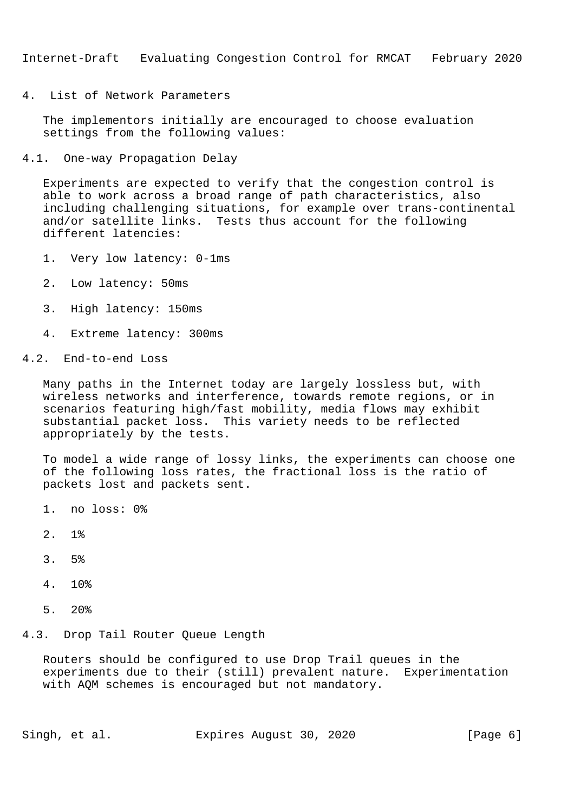4. List of Network Parameters

 The implementors initially are encouraged to choose evaluation settings from the following values:

4.1. One-way Propagation Delay

 Experiments are expected to verify that the congestion control is able to work across a broad range of path characteristics, also including challenging situations, for example over trans-continental and/or satellite links. Tests thus account for the following different latencies:

- 1. Very low latency: 0-1ms
- 2. Low latency: 50ms
- 3. High latency: 150ms
- 4. Extreme latency: 300ms

# 4.2. End-to-end Loss

 Many paths in the Internet today are largely lossless but, with wireless networks and interference, towards remote regions, or in scenarios featuring high/fast mobility, media flows may exhibit substantial packet loss. This variety needs to be reflected appropriately by the tests.

 To model a wide range of lossy links, the experiments can choose one of the following loss rates, the fractional loss is the ratio of packets lost and packets sent.

- 1. no loss: 0%
- 2. 1%
- 3. 5%
- 4. 10%
- 5. 20%

#### 4.3. Drop Tail Router Queue Length

 Routers should be configured to use Drop Trail queues in the experiments due to their (still) prevalent nature. Experimentation with AQM schemes is encouraged but not mandatory.

Singh, et al. Expires August 30, 2020 [Page 6]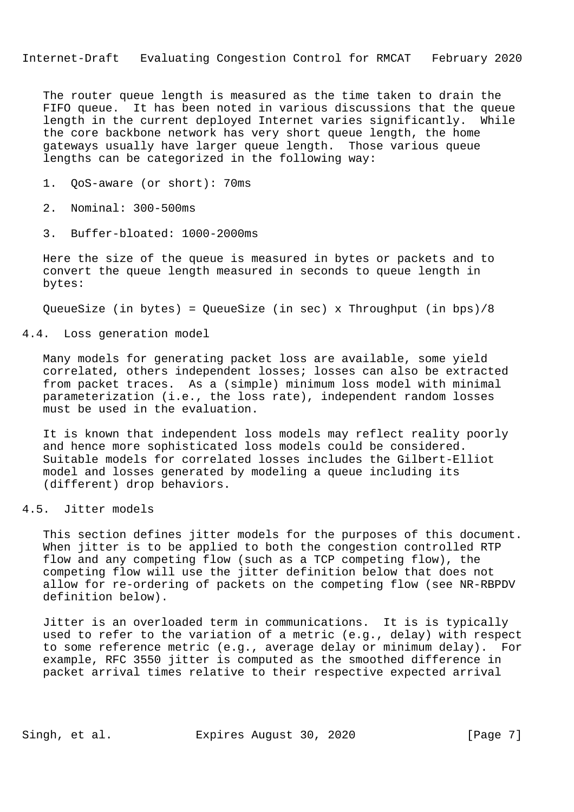The router queue length is measured as the time taken to drain the FIFO queue. It has been noted in various discussions that the queue length in the current deployed Internet varies significantly. While the core backbone network has very short queue length, the home gateways usually have larger queue length. Those various queue lengths can be categorized in the following way:

- 1. QoS-aware (or short): 70ms
- 2. Nominal: 300-500ms
- 3. Buffer-bloated: 1000-2000ms

 Here the size of the queue is measured in bytes or packets and to convert the queue length measured in seconds to queue length in bytes:

QueueSize (in bytes) = QueueSize (in sec) x Throughput (in bps)/8

4.4. Loss generation model

 Many models for generating packet loss are available, some yield correlated, others independent losses; losses can also be extracted from packet traces. As a (simple) minimum loss model with minimal parameterization (i.e., the loss rate), independent random losses must be used in the evaluation.

 It is known that independent loss models may reflect reality poorly and hence more sophisticated loss models could be considered. Suitable models for correlated losses includes the Gilbert-Elliot model and losses generated by modeling a queue including its (different) drop behaviors.

4.5. Jitter models

 This section defines jitter models for the purposes of this document. When jitter is to be applied to both the congestion controlled RTP flow and any competing flow (such as a TCP competing flow), the competing flow will use the jitter definition below that does not allow for re-ordering of packets on the competing flow (see NR-RBPDV definition below).

 Jitter is an overloaded term in communications. It is is typically used to refer to the variation of a metric (e.g., delay) with respect to some reference metric (e.g., average delay or minimum delay). For example, RFC 3550 jitter is computed as the smoothed difference in packet arrival times relative to their respective expected arrival

Singh, et al. Expires August 30, 2020 [Page 7]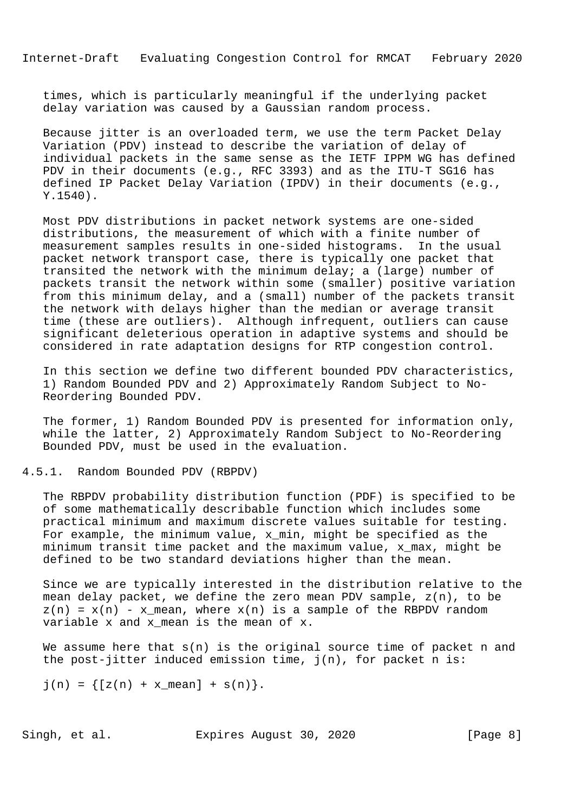times, which is particularly meaningful if the underlying packet delay variation was caused by a Gaussian random process.

 Because jitter is an overloaded term, we use the term Packet Delay Variation (PDV) instead to describe the variation of delay of individual packets in the same sense as the IETF IPPM WG has defined PDV in their documents (e.g., RFC 3393) and as the ITU-T SG16 has defined IP Packet Delay Variation (IPDV) in their documents (e.g., Y.1540).

 Most PDV distributions in packet network systems are one-sided distributions, the measurement of which with a finite number of measurement samples results in one-sided histograms. In the usual packet network transport case, there is typically one packet that transited the network with the minimum delay; a (large) number of packets transit the network within some (smaller) positive variation from this minimum delay, and a (small) number of the packets transit the network with delays higher than the median or average transit time (these are outliers). Although infrequent, outliers can cause significant deleterious operation in adaptive systems and should be considered in rate adaptation designs for RTP congestion control.

 In this section we define two different bounded PDV characteristics, 1) Random Bounded PDV and 2) Approximately Random Subject to No- Reordering Bounded PDV.

 The former, 1) Random Bounded PDV is presented for information only, while the latter, 2) Approximately Random Subject to No-Reordering Bounded PDV, must be used in the evaluation.

# 4.5.1. Random Bounded PDV (RBPDV)

 The RBPDV probability distribution function (PDF) is specified to be of some mathematically describable function which includes some practical minimum and maximum discrete values suitable for testing. For example, the minimum value, x\_min, might be specified as the minimum transit time packet and the maximum value, x\_max, might be defined to be two standard deviations higher than the mean.

 Since we are typically interested in the distribution relative to the mean delay packet, we define the zero mean PDV sample, z(n), to be  $z(n) = x(n) - x$  mean, where  $x(n)$  is a sample of the RBPDV random variable x and x\_mean is the mean of x.

We assume here that  $s(n)$  is the original source time of packet n and the post-jitter induced emission time,  $j(n)$ , for packet n is:

 $j(n) = \{ [z(n) + x_mean] + s(n) \}.$ 

Singh, et al. Expires August 30, 2020 [Page 8]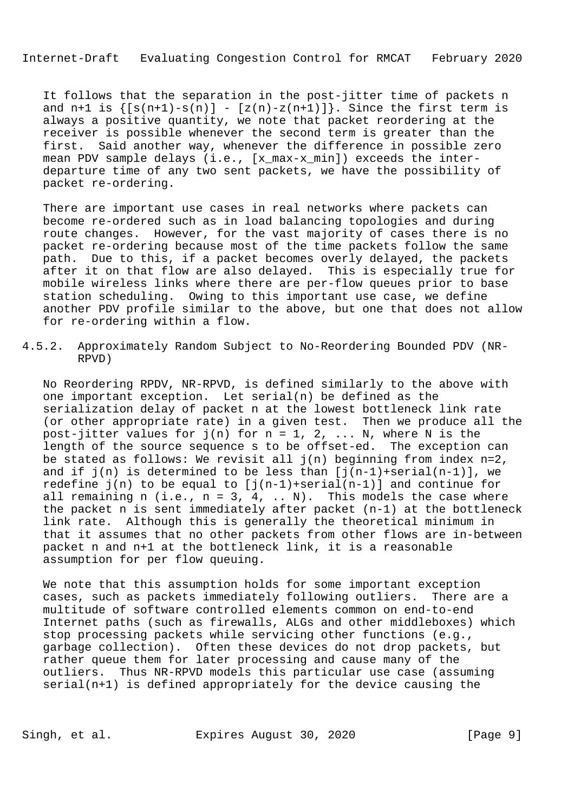It follows that the separation in the post-jitter time of packets n and n+1 is  $\{ [s(n+1)-s(n)] - [z(n)-z(n+1)] \}$ . Since the first term is always a positive quantity, we note that packet reordering at the receiver is possible whenever the second term is greater than the first. Said another way, whenever the difference in possible zero mean PDV sample delays (i.e., [x\_max-x\_min]) exceeds the inter departure time of any two sent packets, we have the possibility of packet re-ordering.

 There are important use cases in real networks where packets can become re-ordered such as in load balancing topologies and during route changes. However, for the vast majority of cases there is no packet re-ordering because most of the time packets follow the same path. Due to this, if a packet becomes overly delayed, the packets after it on that flow are also delayed. This is especially true for mobile wireless links where there are per-flow queues prior to base station scheduling. Owing to this important use case, we define another PDV profile similar to the above, but one that does not allow for re-ordering within a flow.

4.5.2. Approximately Random Subject to No-Reordering Bounded PDV (NR- RPVD)

 No Reordering RPDV, NR-RPVD, is defined similarly to the above with one important exception. Let serial(n) be defined as the serialization delay of packet n at the lowest bottleneck link rate (or other appropriate rate) in a given test. Then we produce all the post-jitter values for  $j(n)$  for  $n = 1, 2, ... N$ , where N is the length of the source sequence s to be offset-ed. The exception can be stated as follows: We revisit all  $j(n)$  beginning from index n=2, and if  $j(n)$  is determined to be less than  $[j(n-1)+\text{serial}(n-1)]$ , we redefine  $j(n)$  to be equal to  $[j(n-1)+\text{serial}(n-1)]$  and continue for all remaining n (i.e.,  $n = 3, 4, ... N$ ). This models the case where the packet n is sent immediately after packet (n-1) at the bottleneck link rate. Although this is generally the theoretical minimum in that it assumes that no other packets from other flows are in-between packet n and n+1 at the bottleneck link, it is a reasonable assumption for per flow queuing.

 We note that this assumption holds for some important exception cases, such as packets immediately following outliers. There are a multitude of software controlled elements common on end-to-end Internet paths (such as firewalls, ALGs and other middleboxes) which stop processing packets while servicing other functions (e.g., garbage collection). Often these devices do not drop packets, but rather queue them for later processing and cause many of the outliers. Thus NR-RPVD models this particular use case (assuming serial(n+1) is defined appropriately for the device causing the

Singh, et al. Expires August 30, 2020 [Page 9]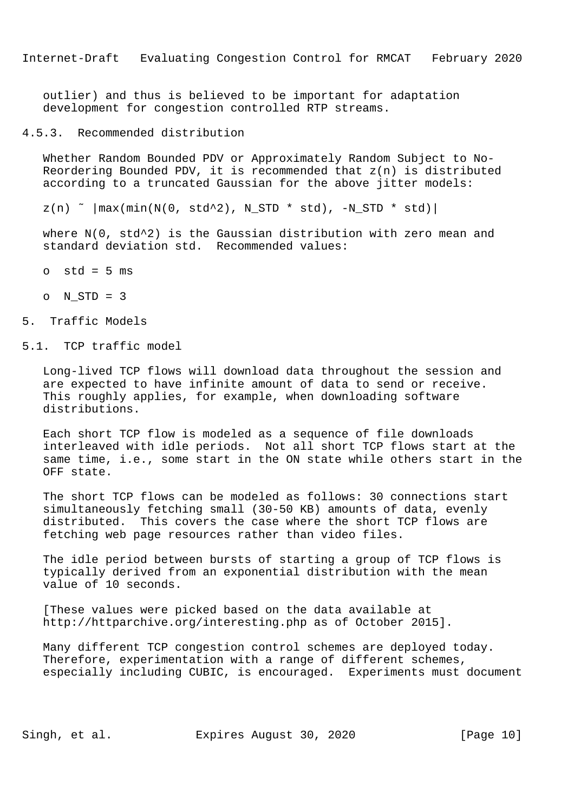outlier) and thus is believed to be important for adaptation development for congestion controlled RTP streams.

4.5.3. Recommended distribution

 Whether Random Bounded PDV or Approximately Random Subject to No- Reordering Bounded PDV, it is recommended that z(n) is distributed according to a truncated Gaussian for the above jitter models:

 $z(n)$   $\sim$   $|\text{max}(\text{min}(N(0, std^2), NSTD * std), -NSTD * std)|$ 

where  $N(0, std^2)$  is the Gaussian distribution with zero mean and standard deviation std. Recommended values:

- $o$  std =  $5$  ms
- o N\_STD = 3

### 5. Traffic Models

5.1. TCP traffic model

 Long-lived TCP flows will download data throughout the session and are expected to have infinite amount of data to send or receive. This roughly applies, for example, when downloading software distributions.

 Each short TCP flow is modeled as a sequence of file downloads interleaved with idle periods. Not all short TCP flows start at the same time, i.e., some start in the ON state while others start in the OFF state.

 The short TCP flows can be modeled as follows: 30 connections start simultaneously fetching small (30-50 KB) amounts of data, evenly distributed. This covers the case where the short TCP flows are fetching web page resources rather than video files.

 The idle period between bursts of starting a group of TCP flows is typically derived from an exponential distribution with the mean value of 10 seconds.

 [These values were picked based on the data available at http://httparchive.org/interesting.php as of October 2015].

 Many different TCP congestion control schemes are deployed today. Therefore, experimentation with a range of different schemes, especially including CUBIC, is encouraged. Experiments must document

Singh, et al. Expires August 30, 2020 [Page 10]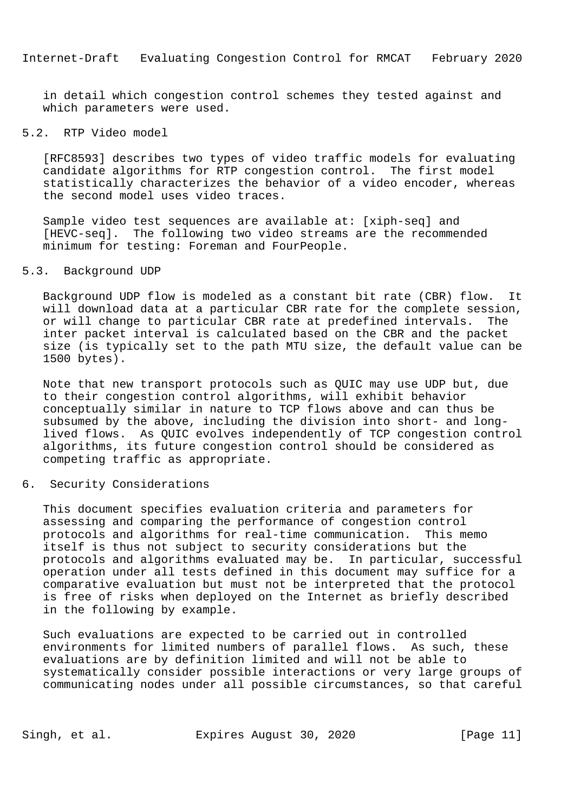in detail which congestion control schemes they tested against and which parameters were used.

## 5.2. RTP Video model

 [RFC8593] describes two types of video traffic models for evaluating candidate algorithms for RTP congestion control. The first model statistically characterizes the behavior of a video encoder, whereas the second model uses video traces.

 Sample video test sequences are available at: [xiph-seq] and [HEVC-seq]. The following two video streams are the recommended minimum for testing: Foreman and FourPeople.

# 5.3. Background UDP

 Background UDP flow is modeled as a constant bit rate (CBR) flow. It will download data at a particular CBR rate for the complete session, or will change to particular CBR rate at predefined intervals. The inter packet interval is calculated based on the CBR and the packet size (is typically set to the path MTU size, the default value can be 1500 bytes).

 Note that new transport protocols such as QUIC may use UDP but, due to their congestion control algorithms, will exhibit behavior conceptually similar in nature to TCP flows above and can thus be subsumed by the above, including the division into short- and long lived flows. As QUIC evolves independently of TCP congestion control algorithms, its future congestion control should be considered as competing traffic as appropriate.

6. Security Considerations

 This document specifies evaluation criteria and parameters for assessing and comparing the performance of congestion control protocols and algorithms for real-time communication. This memo itself is thus not subject to security considerations but the protocols and algorithms evaluated may be. In particular, successful operation under all tests defined in this document may suffice for a comparative evaluation but must not be interpreted that the protocol is free of risks when deployed on the Internet as briefly described in the following by example.

 Such evaluations are expected to be carried out in controlled environments for limited numbers of parallel flows. As such, these evaluations are by definition limited and will not be able to systematically consider possible interactions or very large groups of communicating nodes under all possible circumstances, so that careful

Singh, et al. Expires August 30, 2020 [Page 11]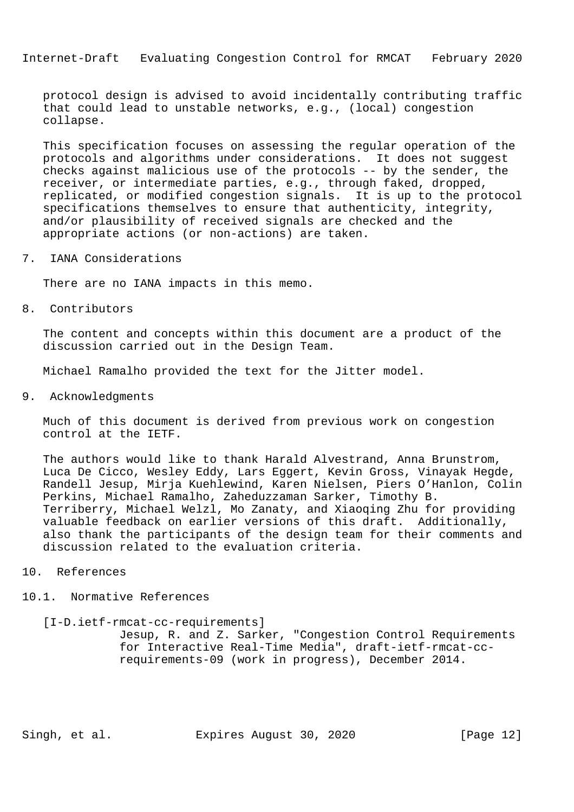protocol design is advised to avoid incidentally contributing traffic that could lead to unstable networks, e.g., (local) congestion collapse.

 This specification focuses on assessing the regular operation of the protocols and algorithms under considerations. It does not suggest checks against malicious use of the protocols -- by the sender, the receiver, or intermediate parties, e.g., through faked, dropped, replicated, or modified congestion signals. It is up to the protocol specifications themselves to ensure that authenticity, integrity, and/or plausibility of received signals are checked and the appropriate actions (or non-actions) are taken.

7. IANA Considerations

There are no IANA impacts in this memo.

8. Contributors

 The content and concepts within this document are a product of the discussion carried out in the Design Team.

Michael Ramalho provided the text for the Jitter model.

9. Acknowledgments

 Much of this document is derived from previous work on congestion control at the IETF.

 The authors would like to thank Harald Alvestrand, Anna Brunstrom, Luca De Cicco, Wesley Eddy, Lars Eggert, Kevin Gross, Vinayak Hegde, Randell Jesup, Mirja Kuehlewind, Karen Nielsen, Piers O'Hanlon, Colin Perkins, Michael Ramalho, Zaheduzzaman Sarker, Timothy B. Terriberry, Michael Welzl, Mo Zanaty, and Xiaoqing Zhu for providing valuable feedback on earlier versions of this draft. Additionally, also thank the participants of the design team for their comments and discussion related to the evaluation criteria.

- 10. References
- 10.1. Normative References

 [I-D.ietf-rmcat-cc-requirements] Jesup, R. and Z. Sarker, "Congestion Control Requirements for Interactive Real-Time Media", draft-ietf-rmcat-cc requirements-09 (work in progress), December 2014.

Singh, et al. Expires August 30, 2020 [Page 12]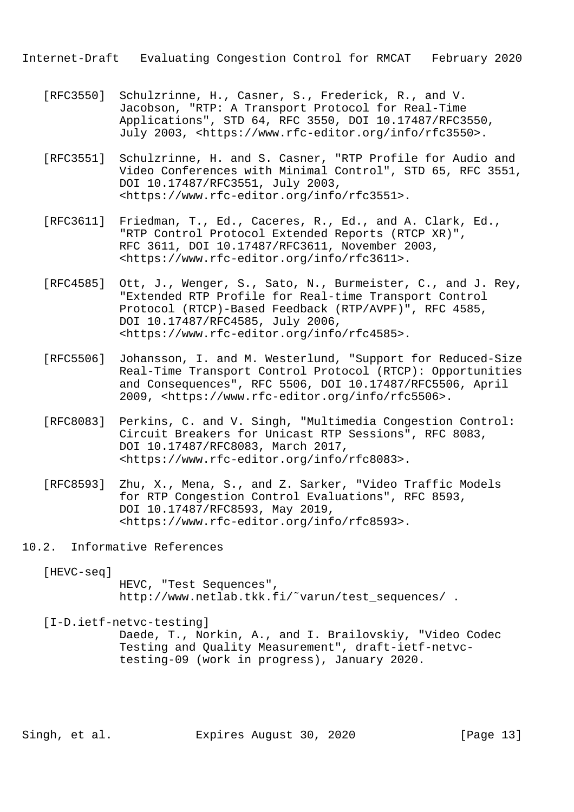- [RFC3550] Schulzrinne, H., Casner, S., Frederick, R., and V. Jacobson, "RTP: A Transport Protocol for Real-Time Applications", STD 64, RFC 3550, DOI 10.17487/RFC3550, July 2003, <https://www.rfc-editor.org/info/rfc3550>.
- [RFC3551] Schulzrinne, H. and S. Casner, "RTP Profile for Audio and Video Conferences with Minimal Control", STD 65, RFC 3551, DOI 10.17487/RFC3551, July 2003, <https://www.rfc-editor.org/info/rfc3551>.
- [RFC3611] Friedman, T., Ed., Caceres, R., Ed., and A. Clark, Ed., "RTP Control Protocol Extended Reports (RTCP XR)", RFC 3611, DOI 10.17487/RFC3611, November 2003, <https://www.rfc-editor.org/info/rfc3611>.
- [RFC4585] Ott, J., Wenger, S., Sato, N., Burmeister, C., and J. Rey, "Extended RTP Profile for Real-time Transport Control Protocol (RTCP)-Based Feedback (RTP/AVPF)", RFC 4585, DOI 10.17487/RFC4585, July 2006, <https://www.rfc-editor.org/info/rfc4585>.
- [RFC5506] Johansson, I. and M. Westerlund, "Support for Reduced-Size Real-Time Transport Control Protocol (RTCP): Opportunities and Consequences", RFC 5506, DOI 10.17487/RFC5506, April 2009, <https://www.rfc-editor.org/info/rfc5506>.
- [RFC8083] Perkins, C. and V. Singh, "Multimedia Congestion Control: Circuit Breakers for Unicast RTP Sessions", RFC 8083, DOI 10.17487/RFC8083, March 2017, <https://www.rfc-editor.org/info/rfc8083>.
- [RFC8593] Zhu, X., Mena, S., and Z. Sarker, "Video Traffic Models for RTP Congestion Control Evaluations", RFC 8593, DOI 10.17487/RFC8593, May 2019, <https://www.rfc-editor.org/info/rfc8593>.
- 10.2. Informative References
	- [HEVC-seq]

 HEVC, "Test Sequences", http://www.netlab.tkk.fi/˜varun/test\_sequences/ .

[I-D.ietf-netvc-testing]

 Daede, T., Norkin, A., and I. Brailovskiy, "Video Codec Testing and Quality Measurement", draft-ietf-netvc testing-09 (work in progress), January 2020.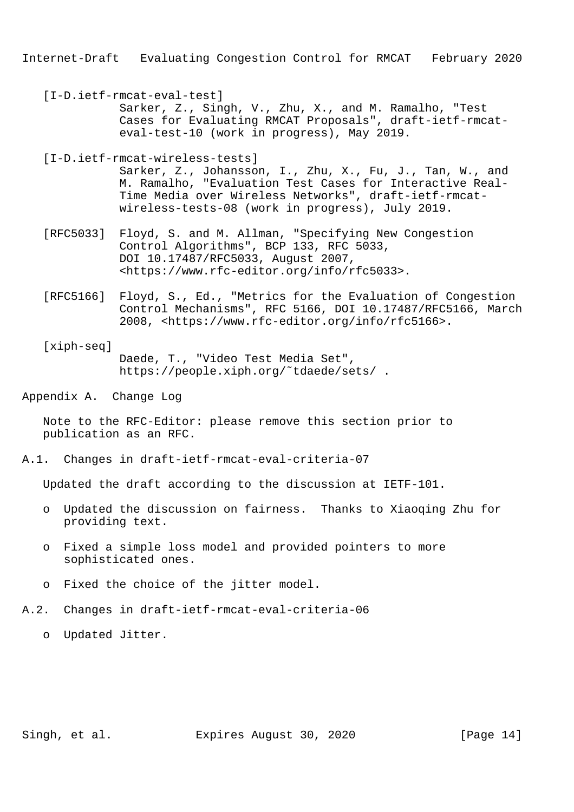[I-D.ietf-rmcat-eval-test] Sarker, Z., Singh, V., Zhu, X., and M. Ramalho, "Test Cases for Evaluating RMCAT Proposals", draft-ietf-rmcat eval-test-10 (work in progress), May 2019.

 [I-D.ietf-rmcat-wireless-tests] Sarker, Z., Johansson, I., Zhu, X., Fu, J., Tan, W., and M. Ramalho, "Evaluation Test Cases for Interactive Real- Time Media over Wireless Networks", draft-ietf-rmcat wireless-tests-08 (work in progress), July 2019.

- [RFC5033] Floyd, S. and M. Allman, "Specifying New Congestion Control Algorithms", BCP 133, RFC 5033, DOI 10.17487/RFC5033, August 2007, <https://www.rfc-editor.org/info/rfc5033>.
- [RFC5166] Floyd, S., Ed., "Metrics for the Evaluation of Congestion Control Mechanisms", RFC 5166, DOI 10.17487/RFC5166, March 2008, <https://www.rfc-editor.org/info/rfc5166>.
- [xiph-seq] Daede, T., "Video Test Media Set", https://people.xiph.org/˜tdaede/sets/ .

Appendix A. Change Log

 Note to the RFC-Editor: please remove this section prior to publication as an RFC.

A.1. Changes in draft-ietf-rmcat-eval-criteria-07

Updated the draft according to the discussion at IETF-101.

- o Updated the discussion on fairness. Thanks to Xiaoqing Zhu for providing text.
- o Fixed a simple loss model and provided pointers to more sophisticated ones.
- o Fixed the choice of the jitter model.
- A.2. Changes in draft-ietf-rmcat-eval-criteria-06
	- o Updated Jitter.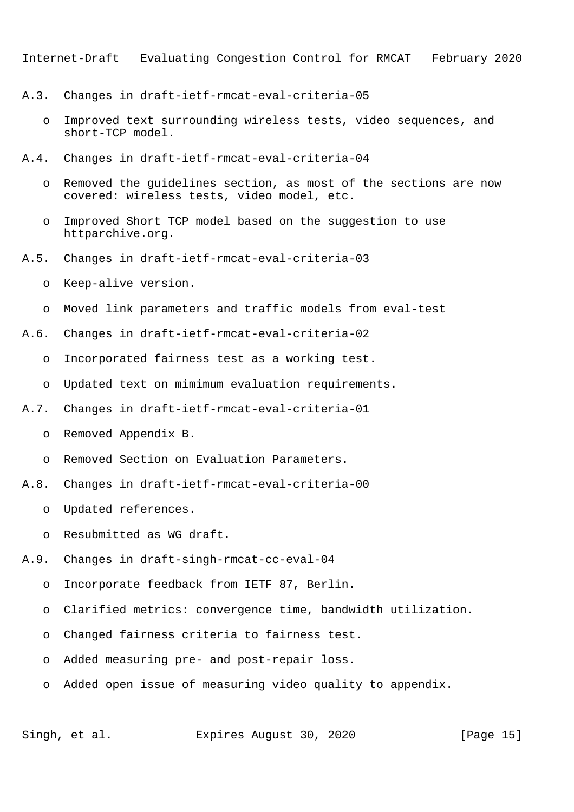- A.3. Changes in draft-ietf-rmcat-eval-criteria-05
	- o Improved text surrounding wireless tests, video sequences, and short-TCP model.
- A.4. Changes in draft-ietf-rmcat-eval-criteria-04
	- o Removed the guidelines section, as most of the sections are now covered: wireless tests, video model, etc.
	- o Improved Short TCP model based on the suggestion to use httparchive.org.
- A.5. Changes in draft-ietf-rmcat-eval-criteria-03
	- o Keep-alive version.
	- o Moved link parameters and traffic models from eval-test
- A.6. Changes in draft-ietf-rmcat-eval-criteria-02
	- o Incorporated fairness test as a working test.
	- o Updated text on mimimum evaluation requirements.
- A.7. Changes in draft-ietf-rmcat-eval-criteria-01
	- o Removed Appendix B.
	- o Removed Section on Evaluation Parameters.
- A.8. Changes in draft-ietf-rmcat-eval-criteria-00
	- o Updated references.
	- o Resubmitted as WG draft.
- A.9. Changes in draft-singh-rmcat-cc-eval-04
	- o Incorporate feedback from IETF 87, Berlin.
	- o Clarified metrics: convergence time, bandwidth utilization.
	- o Changed fairness criteria to fairness test.
	- o Added measuring pre- and post-repair loss.
	- o Added open issue of measuring video quality to appendix.

Singh, et al. Expires August 30, 2020 [Page 15]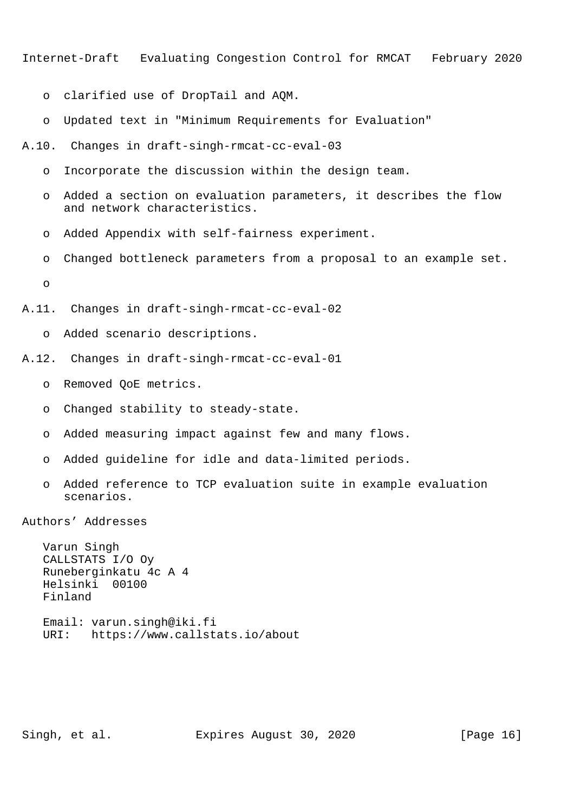- o clarified use of DropTail and AQM.
- o Updated text in "Minimum Requirements for Evaluation"
- A.10. Changes in draft-singh-rmcat-cc-eval-03
	- o Incorporate the discussion within the design team.
	- o Added a section on evaluation parameters, it describes the flow and network characteristics.
	- o Added Appendix with self-fairness experiment.
	- o Changed bottleneck parameters from a proposal to an example set.
	- o
- A.11. Changes in draft-singh-rmcat-cc-eval-02
	- o Added scenario descriptions.
- A.12. Changes in draft-singh-rmcat-cc-eval-01
	- o Removed QoE metrics.
	- o Changed stability to steady-state.
	- o Added measuring impact against few and many flows.
	- o Added guideline for idle and data-limited periods.
	- o Added reference to TCP evaluation suite in example evaluation scenarios.

Authors' Addresses

 Varun Singh CALLSTATS I/O Oy Runeberginkatu 4c A 4 Helsinki 00100 Finland Email: varun.singh@iki.fi

URI: https://www.callstats.io/about

Singh, et al. Expires August 30, 2020 [Page 16]